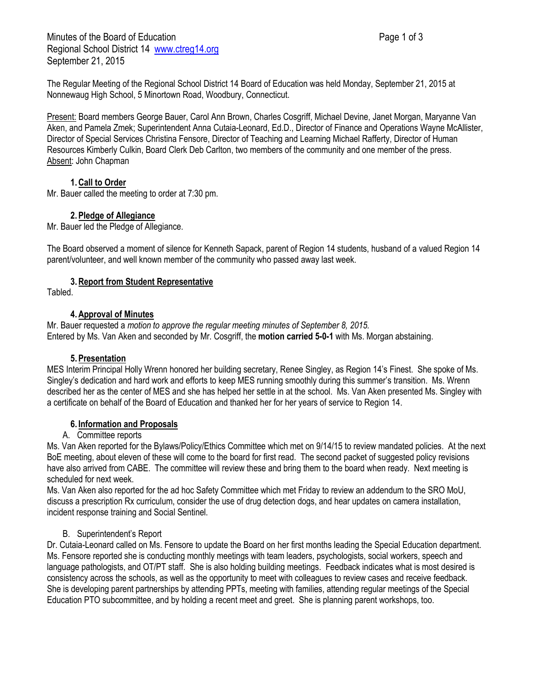Minutes of the Board of Education **Page 1 of 3** Page 1 of 3 Regional School District 14 [www.ctreg14.org](http://www.ctreg14.org/) September 21, 2015

The Regular Meeting of the Regional School District 14 Board of Education was held Monday, September 21, 2015 at Nonnewaug High School, 5 Minortown Road, Woodbury, Connecticut.

Present: Board members George Bauer, Carol Ann Brown, Charles Cosgriff, Michael Devine, Janet Morgan, Marvanne Van Aken, and Pamela Zmek; Superintendent Anna Cutaia-Leonard, Ed.D., Director of Finance and Operations Wayne McAllister, Director of Special Services Christina Fensore, Director of Teaching and Learning Michael Rafferty, Director of Human Resources Kimberly Culkin, Board Clerk Deb Carlton, two members of the community and one member of the press. Absent: John Chapman

## **1.Call to Order**

Mr. Bauer called the meeting to order at 7:30 pm.

## **2.Pledge of Allegiance**

Mr. Bauer led the Pledge of Allegiance.

The Board observed a moment of silence for Kenneth Sapack, parent of Region 14 students, husband of a valued Region 14 parent/volunteer, and well known member of the community who passed away last week.

## **3.Report from Student Representative**

**Tabled** 

## **4.Approval of Minutes**

Mr. Bauer requested a *motion to approve the regular meeting minutes of September 8, 2015.* Entered by Ms. Van Aken and seconded by Mr. Cosgriff, the **motion carried 5-0-1** with Ms. Morgan abstaining.

## **5.Presentation**

MES Interim Principal Holly Wrenn honored her building secretary, Renee Singley, as Region 14's Finest. She spoke of Ms. Singley's dedication and hard work and efforts to keep MES running smoothly during this summer's transition. Ms. Wrenn described her as the center of MES and she has helped her settle in at the school. Ms. Van Aken presented Ms. Singley with a certificate on behalf of the Board of Education and thanked her for her years of service to Region 14.

## **6. Information and Proposals**

## A. Committee reports

Ms. Van Aken reported for the Bylaws/Policy/Ethics Committee which met on 9/14/15 to review mandated policies. At the next BoE meeting, about eleven of these will come to the board for first read. The second packet of suggested policy revisions have also arrived from CABE. The committee will review these and bring them to the board when ready. Next meeting is scheduled for next week.

Ms. Van Aken also reported for the ad hoc Safety Committee which met Friday to review an addendum to the SRO MoU, discuss a prescription Rx curriculum, consider the use of drug detection dogs, and hear updates on camera installation, incident response training and Social Sentinel.

## B. Superintendent's Report

Dr. Cutaia-Leonard called on Ms. Fensore to update the Board on her first months leading the Special Education department. Ms. Fensore reported she is conducting monthly meetings with team leaders, psychologists, social workers, speech and language pathologists, and OT/PT staff. She is also holding building meetings. Feedback indicates what is most desired is consistency across the schools, as well as the opportunity to meet with colleagues to review cases and receive feedback. She is developing parent partnerships by attending PPTs, meeting with families, attending regular meetings of the Special Education PTO subcommittee, and by holding a recent meet and greet. She is planning parent workshops, too.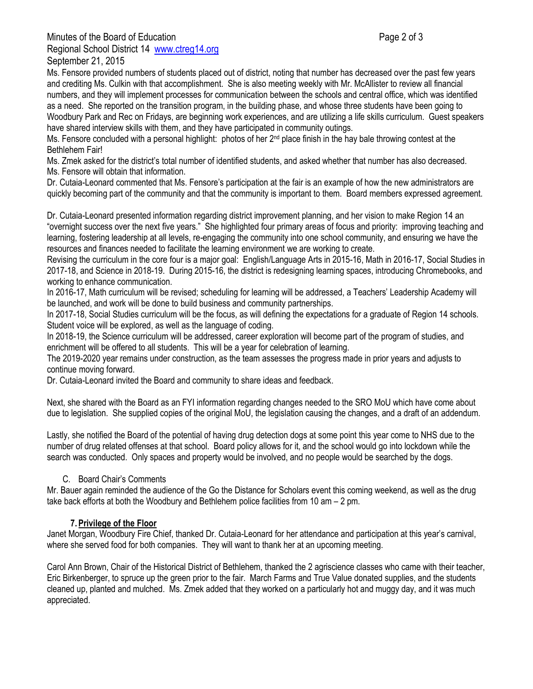Minutes of the Board of Education **Page 2 of 3** and 2 of 3 Regional School District 14 [www.ctreg14.org](http://www.ctreg14.org/) September 21, 2015

Ms. Fensore provided numbers of students placed out of district, noting that number has decreased over the past few years and crediting Ms. Culkin with that accomplishment. She is also meeting weekly with Mr. McAllister to review all financial numbers, and they will implement processes for communication between the schools and central office, which was identified as a need. She reported on the transition program, in the building phase, and whose three students have been going to Woodbury Park and Rec on Fridays, are beginning work experiences, and are utilizing a life skills curriculum. Guest speakers have shared interview skills with them, and they have participated in community outings.

Ms. Fensore concluded with a personal highlight: photos of her  $2^{nd}$  place finish in the hay bale throwing contest at the Bethlehem Fair!

Ms. Zmek asked for the district's total number of identified students, and asked whether that number has also decreased. Ms. Fensore will obtain that information.

Dr. Cutaia-Leonard commented that Ms. Fensore's participation at the fair is an example of how the new administrators are quickly becoming part of the community and that the community is important to them. Board members expressed agreement.

Dr. Cutaia-Leonard presented information regarding district improvement planning, and her vision to make Region 14 an "overnight success over the next five years." She highlighted four primary areas of focus and priority: improving teaching and learning, fostering leadership at all levels, re-engaging the community into one school community, and ensuring we have the resources and finances needed to facilitate the learning environment we are working to create.

Revising the curriculum in the core four is a major goal: English/Language Arts in 2015-16, Math in 2016-17, Social Studies in 2017-18, and Science in 2018-19. During 2015-16, the district is redesigning learning spaces, introducing Chromebooks, and working to enhance communication.

In 2016-17, Math curriculum will be revised; scheduling for learning will be addressed, a Teachers' Leadership Academy will be launched, and work will be done to build business and community partnerships.

In 2017-18, Social Studies curriculum will be the focus, as will defining the expectations for a graduate of Region 14 schools. Student voice will be explored, as well as the language of coding.

In 2018-19, the Science curriculum will be addressed, career exploration will become part of the program of studies, and enrichment will be offered to all students. This will be a year for celebration of learning.

The 2019-2020 year remains under construction, as the team assesses the progress made in prior years and adjusts to continue moving forward.

Dr. Cutaia-Leonard invited the Board and community to share ideas and feedback.

Next, she shared with the Board as an FYI information regarding changes needed to the SRO MoU which have come about due to legislation. She supplied copies of the original MoU, the legislation causing the changes, and a draft of an addendum.

Lastly, she notified the Board of the potential of having drug detection dogs at some point this year come to NHS due to the number of drug related offenses at that school. Board policy allows for it, and the school would go into lockdown while the search was conducted. Only spaces and property would be involved, and no people would be searched by the dogs.

## C. Board Chair's Comments

Mr. Bauer again reminded the audience of the Go the Distance for Scholars event this coming weekend, as well as the drug take back efforts at both the Woodbury and Bethlehem police facilities from 10 am – 2 pm.

# **7.Privilege of the Floor**

Janet Morgan, Woodbury Fire Chief, thanked Dr. Cutaia-Leonard for her attendance and participation at this year's carnival, where she served food for both companies. They will want to thank her at an upcoming meeting.

Carol Ann Brown, Chair of the Historical District of Bethlehem, thanked the 2 agriscience classes who came with their teacher, Eric Birkenberger, to spruce up the green prior to the fair. March Farms and True Value donated supplies, and the students cleaned up, planted and mulched. Ms. Zmek added that they worked on a particularly hot and muggy day, and it was much appreciated.